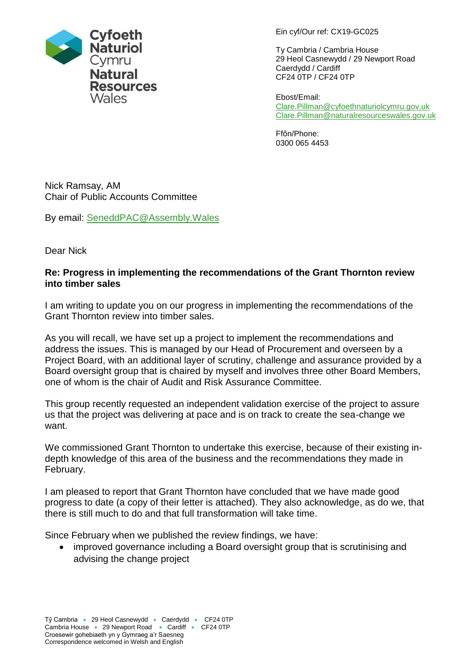Ein cyf/Our ref: CX19-GC025

Ty Cambria / Cambria House 29 Heol Casnewydd / 29 Newport Road Caerdydd / Cardiff CF24 0TP / CF24 0TP

Ebost/Email: [Clare.Pillman@cyfoethnaturiolcymru.gov.uk](mailto:Clare.Pillman@cyfoethnaturiolcymru.gov.uk) [Clare.Pillman@naturalresourceswales.gov.uk](mailto:Clare.Pillman@naturalresourceswales.gov.uk)

Ffôn/Phone: 0300 065 4453

Nick Ramsay, AM Chair of Public Accounts Committee

By email: [SeneddPAC@Assembly.Wales](mailto:SeneddPAC@Assembly.Wales)

Dear Nick

# **Re: Progress in implementing the recommendations of the Grant Thornton review into timber sales**

I am writing to update you on our progress in implementing the recommendations of the Grant Thornton review into timber sales.

As you will recall, we have set up a project to implement the recommendations and address the issues. This is managed by our Head of Procurement and overseen by a Project Board, with an additional layer of scrutiny, challenge and assurance provided by a Board oversight group that is chaired by myself and involves three other Board Members, one of whom is the chair of Audit and Risk Assurance Committee.

This group recently requested an independent validation exercise of the project to assure us that the project was delivering at pace and is on track to create the sea-change we want.

We commissioned Grant Thornton to undertake this exercise, because of their existing indepth knowledge of this area of the business and the recommendations they made in February.

I am pleased to report that Grant Thornton have concluded that we have made good progress to date (a copy of their letter is attached). They also acknowledge, as do we, that there is still much to do and that full transformation will take time.

Since February when we published the review findings, we have:

• improved governance including a Board oversight group that is scrutinising and advising the change project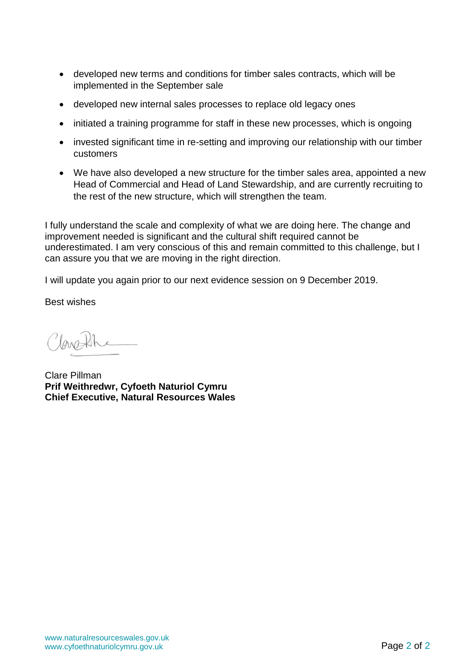- developed new terms and conditions for timber sales contracts, which will be implemented in the September sale
- developed new internal sales processes to replace old legacy ones
- initiated a training programme for staff in these new processes, which is ongoing
- invested significant time in re-setting and improving our relationship with our timber customers
- We have also developed a new structure for the timber sales area, appointed a new Head of Commercial and Head of Land Stewardship, and are currently recruiting to the rest of the new structure, which will strengthen the team.

I fully understand the scale and complexity of what we are doing here. The change and improvement needed is significant and the cultural shift required cannot be underestimated. I am very conscious of this and remain committed to this challenge, but I can assure you that we are moving in the right direction.

I will update you again prior to our next evidence session on 9 December 2019.

Best wishes

lanth

Clare Pillman **Prif Weithredwr, Cyfoeth Naturiol Cymru Chief Executive, Natural Resources Wales**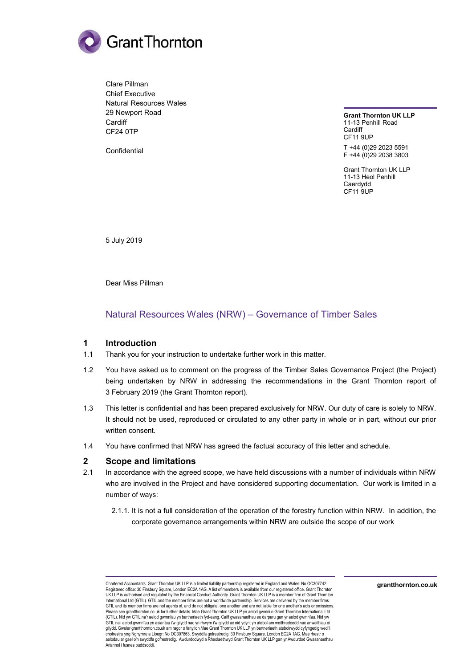

Clare Pillman Chief Executive Natural Resources Wales 29 Newport Road **Cardiff** CF24 0TP

Confidential

**Grant Thornton UK LLP**  11-13 Penhill Road Cardiff CF11 9UP T +44 (0)29 2023 5591 F +44 (0)29 2038 3803

Grant Thornton UK LLP 11-13 Heol Penhill Caerdydd CF11 9UP

5 July 2019

Dear Miss Pillman

## Natural Resources Wales (NRW) – Governance of Timber Sales

### **1 Introduction**

- 1.1 Thank you for your instruction to undertake further work in this matter.
- 1.2 You have asked us to comment on the progress of the Timber Sales Governance Project (the Project) being undertaken by NRW in addressing the recommendations in the Grant Thornton report of 3 February 2019 (the Grant Thornton report).
- 1.3 This letter is confidential and has been prepared exclusively for NRW. Our duty of care is solely to NRW. It should not be used, reproduced or circulated to any other party in whole or in part, without our prior written consent.
- 1.4 You have confirmed that NRW has agreed the factual accuracy of this letter and schedule.

#### **2 Scope and limitations**

- 2.1 In accordance with the agreed scope, we have held discussions with a number of individuals within NRW who are involved in the Project and have considered supporting documentation. Our work is limited in a number of ways:
	- 2.1.1. It is not a full consideration of the operation of the forestry function within NRW. In addition, the corporate governance arrangements within NRW are outside the scope of our work

Chartered Accountants. Grant Thornton UK LLP is a limited liability partnership registered in England and Wales: No.OC307742. Registered office: 30 Finsbury Square, London EC2A 1AG. A list of members is available from our registered office. Grant Thornton<br>UK LLP is authorised and regulated by the Financial Conduct Authority. Grant Thornton UK LLP International Ltd (GTIL). GTIL and the member firms are not a worldwide partnership. Services are delivered by the member firms. GTIL and its member firms are not agents of, and do not obligate, one another and are not liable for one another's acts or omissions. Please see grantthornton.co.uk for further details. Mae Grant Thornton UK LLP yn aelod gwmni o Grant Thornton International Ltd<br>(GTIL). Nid yw GTIL na'r aelod gwmnïau yn bartneriaeth fyd-eang. Caiff gwasanaethau eu darparu GTIL na'i aelod gwmnïau yn asiantau i'w gilydd nac yn rhwym i'w gilydd ac nid ydynt yn atebol am weithredoedd nac anweithiau ei<br>chiydd. Gweler grantthornton.co.uk am ragor o fanylion.Mae Grant Thornton UK LLP yn bartneriae Ariannol i fusnes buddsoddi.

**grantthornton.co.uk**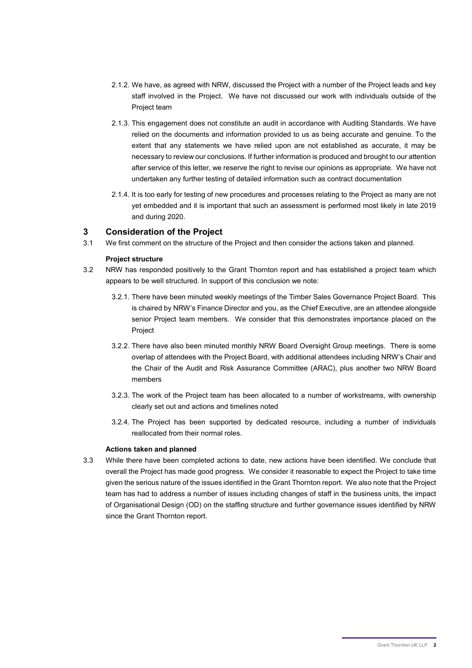- 2.1.2. We have, as agreed with NRW, discussed the Project with a number of the Project leads and key staff involved in the Project. We have not discussed our work with individuals outside of the Project team
- 2.1.3. This engagement does not constitute an audit in accordance with Auditing Standards. We have relied on the documents and information provided to us as being accurate and genuine. To the extent that any statements we have relied upon are not established as accurate, it may be necessary to review our conclusions. If further information is produced and brought to our attention after service of this letter, we reserve the right to revise our opinions as appropriate. We have not undertaken any further testing of detailed information such as contract documentation
- 2.1.4. It is too early for testing of new procedures and processes relating to the Project as many are not yet embedded and it is important that such an assessment is performed most likely in late 2019 and during 2020.

### **3 Consideration of the Project**

3.1 We first comment on the structure of the Project and then consider the actions taken and planned.

#### **Project structure**

- 3.2 NRW has responded positively to the Grant Thornton report and has established a project team which appears to be well structured. In support of this conclusion we note:
	- 3.2.1. There have been minuted weekly meetings of the Timber Sales Governance Project Board. This is chaired by NRW's Finance Director and you, as the Chief Executive, are an attendee alongside senior Project team members. We consider that this demonstrates importance placed on the Project
	- 3.2.2. There have also been minuted monthly NRW Board Oversight Group meetings. There is some overlap of attendees with the Project Board, with additional attendees including NRW's Chair and the Chair of the Audit and Risk Assurance Committee (ARAC), plus another two NRW Board members
	- 3.2.3. The work of the Project team has been allocated to a number of workstreams, with ownership clearly set out and actions and timelines noted
	- 3.2.4. The Project has been supported by dedicated resource, including a number of individuals reallocated from their normal roles.

#### **Actions taken and planned**

3.3 While there have been completed actions to date, new actions have been identified. We conclude that overall the Project has made good progress. We consider it reasonable to expect the Project to take time given the serious nature of the issues identified in the Grant Thornton report. We also note that the Project team has had to address a number of issues including changes of staff in the business units, the impact of Organisational Design (OD) on the staffing structure and further governance issues identified by NRW since the Grant Thornton report.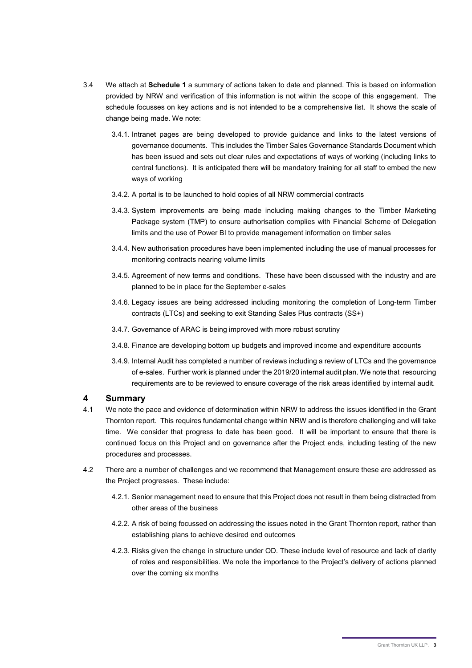- 3.4 We attach at **Schedule 1** a summary of actions taken to date and planned. This is based on information provided by NRW and verification of this information is not within the scope of this engagement. The schedule focusses on key actions and is not intended to be a comprehensive list. It shows the scale of change being made. We note:
	- 3.4.1. Intranet pages are being developed to provide guidance and links to the latest versions of governance documents. This includes the Timber Sales Governance Standards Document which has been issued and sets out clear rules and expectations of ways of working (including links to central functions). It is anticipated there will be mandatory training for all staff to embed the new ways of working
	- 3.4.2. A portal is to be launched to hold copies of all NRW commercial contracts
	- 3.4.3. System improvements are being made including making changes to the Timber Marketing Package system (TMP) to ensure authorisation complies with Financial Scheme of Delegation limits and the use of Power BI to provide management information on timber sales
	- 3.4.4. New authorisation procedures have been implemented including the use of manual processes for monitoring contracts nearing volume limits
	- 3.4.5. Agreement of new terms and conditions. These have been discussed with the industry and are planned to be in place for the September e-sales
	- 3.4.6. Legacy issues are being addressed including monitoring the completion of Long-term Timber contracts (LTCs) and seeking to exit Standing Sales Plus contracts (SS+)
	- 3.4.7. Governance of ARAC is being improved with more robust scrutiny
	- 3.4.8. Finance are developing bottom up budgets and improved income and expenditure accounts
	- 3.4.9. Internal Audit has completed a number of reviews including a review of LTCs and the governance of e-sales. Further work is planned under the 2019/20 internal audit plan. We note that resourcing requirements are to be reviewed to ensure coverage of the risk areas identified by internal audit.

#### **4 Summary**

- 4.1 We note the pace and evidence of determination within NRW to address the issues identified in the Grant Thornton report. This requires fundamental change within NRW and is therefore challenging and will take time. We consider that progress to date has been good. It will be important to ensure that there is continued focus on this Project and on governance after the Project ends, including testing of the new procedures and processes.
- 4.2 There are a number of challenges and we recommend that Management ensure these are addressed as the Project progresses. These include:
	- 4.2.1. Senior management need to ensure that this Project does not result in them being distracted from other areas of the business
	- 4.2.2. A risk of being focussed on addressing the issues noted in the Grant Thornton report, rather than establishing plans to achieve desired end outcomes
	- 4.2.3. Risks given the change in structure under OD. These include level of resource and lack of clarity of roles and responsibilities. We note the importance to the Project's delivery of actions planned over the coming six months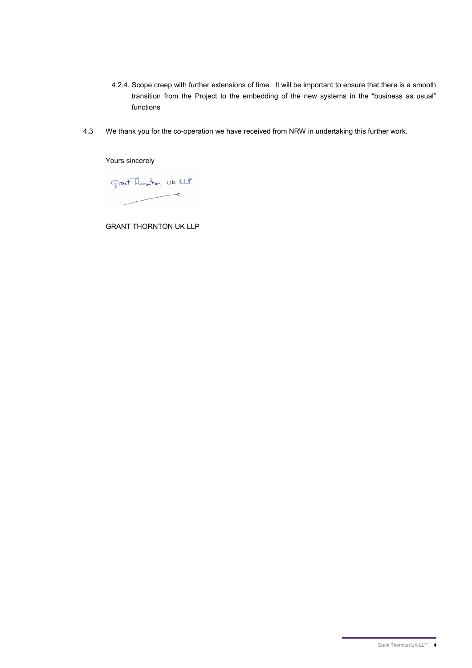- 4.2.4. Scope creep with further extensions of time. It will be important to ensure that there is a smooth transition from the Project to the embedding of the new systems in the "business as usual" functions
- 4.3 We thank you for the co-operation we have received from NRW in undertaking this further work.

Yours sincerely

Grant Thanton UK LLP  $\prec$ 

GRANT THORNTON UK LLP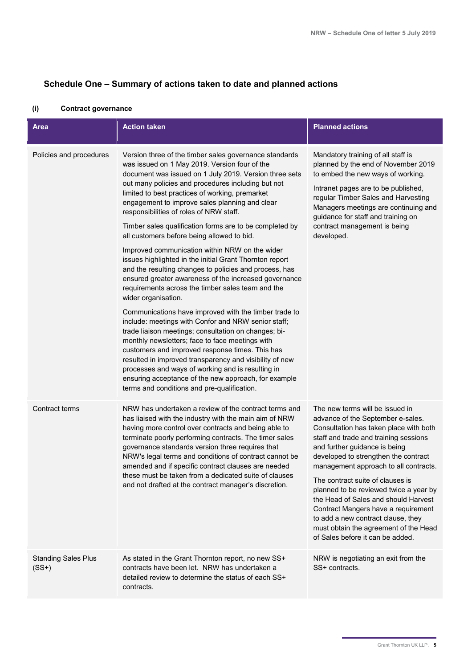# **Schedule One – Summary of actions taken to date and planned actions**

| <b>Area</b>                           | <b>Action taken</b>                                                                                                                                                                                                                                                                                                                                                                                                                                                                                                                                                                                                                                                                                                                                                                                                                                                                                                                                                                                                                                                                                                                                                                                                                                                                               | <b>Planned actions</b>                                                                                                                                                                                                                                                                                                                                                                                                                                                                                                                                    |
|---------------------------------------|---------------------------------------------------------------------------------------------------------------------------------------------------------------------------------------------------------------------------------------------------------------------------------------------------------------------------------------------------------------------------------------------------------------------------------------------------------------------------------------------------------------------------------------------------------------------------------------------------------------------------------------------------------------------------------------------------------------------------------------------------------------------------------------------------------------------------------------------------------------------------------------------------------------------------------------------------------------------------------------------------------------------------------------------------------------------------------------------------------------------------------------------------------------------------------------------------------------------------------------------------------------------------------------------------|-----------------------------------------------------------------------------------------------------------------------------------------------------------------------------------------------------------------------------------------------------------------------------------------------------------------------------------------------------------------------------------------------------------------------------------------------------------------------------------------------------------------------------------------------------------|
| Policies and procedures               | Version three of the timber sales governance standards<br>was issued on 1 May 2019. Version four of the<br>document was issued on 1 July 2019. Version three sets<br>out many policies and procedures including but not<br>limited to best practices of working, premarket<br>engagement to improve sales planning and clear<br>responsibilities of roles of NRW staff.<br>Timber sales qualification forms are to be completed by<br>all customers before being allowed to bid.<br>Improved communication within NRW on the wider<br>issues highlighted in the initial Grant Thornton report<br>and the resulting changes to policies and process, has<br>ensured greater awareness of the increased governance<br>requirements across the timber sales team and the<br>wider organisation.<br>Communications have improved with the timber trade to<br>include: meetings with Confor and NRW senior staff;<br>trade liaison meetings; consultation on changes; bi-<br>monthly newsletters; face to face meetings with<br>customers and improved response times. This has<br>resulted in improved transparency and visibility of new<br>processes and ways of working and is resulting in<br>ensuring acceptance of the new approach, for example<br>terms and conditions and pre-qualification. | Mandatory training of all staff is<br>planned by the end of November 2019<br>to embed the new ways of working.<br>Intranet pages are to be published,<br>regular Timber Sales and Harvesting<br>Managers meetings are continuing and<br>guidance for staff and training on<br>contract management is being<br>developed.                                                                                                                                                                                                                                  |
| Contract terms                        | NRW has undertaken a review of the contract terms and<br>has liaised with the industry with the main aim of NRW<br>having more control over contracts and being able to<br>terminate poorly performing contracts. The timer sales<br>governance standards version three requires that<br>NRW's legal terms and conditions of contract cannot be<br>amended and if specific contract clauses are needed<br>these must be taken from a dedicated suite of clauses<br>and not drafted at the contract manager's discretion.                                                                                                                                                                                                                                                                                                                                                                                                                                                                                                                                                                                                                                                                                                                                                                          | The new terms will be issued in<br>advance of the September e-sales.<br>Consultation has taken place with both<br>staff and trade and training sessions<br>and further guidance is being<br>developed to strengthen the contract<br>management approach to all contracts.<br>The contract suite of clauses is<br>planned to be reviewed twice a year by<br>the Head of Sales and should Harvest<br>Contract Mangers have a requirement<br>to add a new contract clause, they<br>must obtain the agreement of the Head<br>of Sales before it can be added. |
| <b>Standing Sales Plus</b><br>$(SS+)$ | As stated in the Grant Thornton report, no new SS+<br>contracts have been let. NRW has undertaken a<br>detailed review to determine the status of each SS+<br>contracts.                                                                                                                                                                                                                                                                                                                                                                                                                                                                                                                                                                                                                                                                                                                                                                                                                                                                                                                                                                                                                                                                                                                          | NRW is negotiating an exit from the<br>SS+ contracts.                                                                                                                                                                                                                                                                                                                                                                                                                                                                                                     |

### **(i) Contract governance**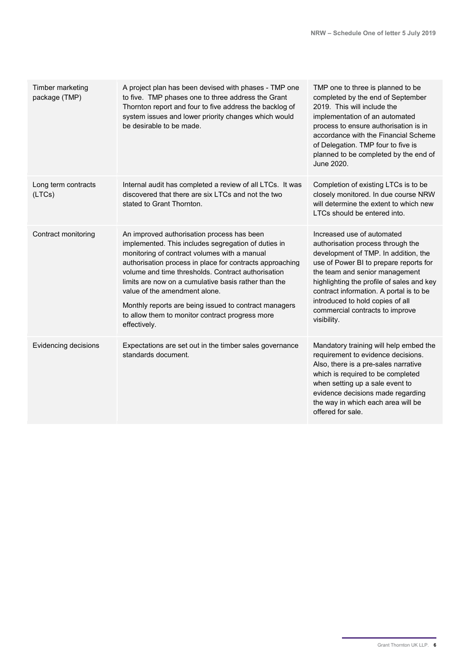| Timber marketing<br>package (TMP) | A project plan has been devised with phases - TMP one<br>to five. TMP phases one to three address the Grant<br>Thornton report and four to five address the backlog of<br>system issues and lower priority changes which would<br>be desirable to be made.                                                                                                                                                                                                                               | TMP one to three is planned to be<br>completed by the end of September<br>2019. This will include the<br>implementation of an automated<br>process to ensure authorisation is in<br>accordance with the Financial Scheme<br>of Delegation. TMP four to five is<br>planned to be completed by the end of<br>June 2020.                                             |
|-----------------------------------|------------------------------------------------------------------------------------------------------------------------------------------------------------------------------------------------------------------------------------------------------------------------------------------------------------------------------------------------------------------------------------------------------------------------------------------------------------------------------------------|-------------------------------------------------------------------------------------------------------------------------------------------------------------------------------------------------------------------------------------------------------------------------------------------------------------------------------------------------------------------|
| Long term contracts<br>(LTCs)     | Internal audit has completed a review of all LTCs. It was<br>discovered that there are six LTCs and not the two<br>stated to Grant Thornton.                                                                                                                                                                                                                                                                                                                                             | Completion of existing LTCs is to be<br>closely monitored. In due course NRW<br>will determine the extent to which new<br>LTCs should be entered into.                                                                                                                                                                                                            |
| Contract monitoring               | An improved authorisation process has been<br>implemented. This includes segregation of duties in<br>monitoring of contract volumes with a manual<br>authorisation process in place for contracts approaching<br>volume and time thresholds. Contract authorisation<br>limits are now on a cumulative basis rather than the<br>value of the amendment alone.<br>Monthly reports are being issued to contract managers<br>to allow them to monitor contract progress more<br>effectively. | Increased use of automated<br>authorisation process through the<br>development of TMP. In addition, the<br>use of Power BI to prepare reports for<br>the team and senior management<br>highlighting the profile of sales and key<br>contract information. A portal is to be<br>introduced to hold copies of all<br>commercial contracts to improve<br>visibility. |
| Evidencing decisions              | Expectations are set out in the timber sales governance<br>standards document.                                                                                                                                                                                                                                                                                                                                                                                                           | Mandatory training will help embed the<br>requirement to evidence decisions.<br>Also, there is a pre-sales narrative<br>which is required to be completed<br>when setting up a sale event to<br>evidence decisions made regarding<br>the way in which each area will be<br>offered for sale.                                                                      |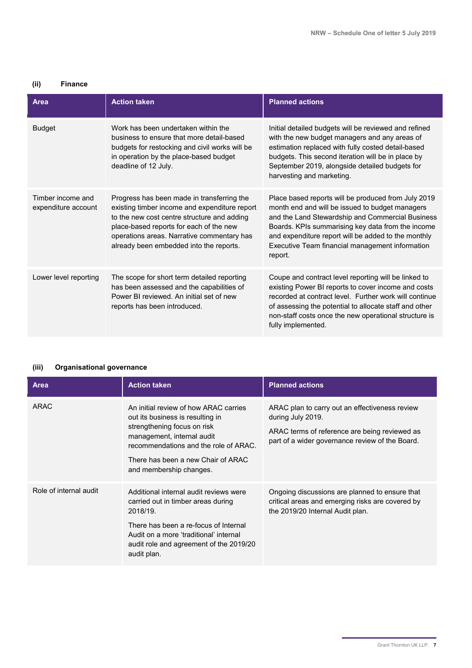# **(ii) Finance**

| Area                                     | <b>Action taken</b>                                                                                                                                                                                                                                                            | <b>Planned actions</b>                                                                                                                                                                                                                                                                                                               |
|------------------------------------------|--------------------------------------------------------------------------------------------------------------------------------------------------------------------------------------------------------------------------------------------------------------------------------|--------------------------------------------------------------------------------------------------------------------------------------------------------------------------------------------------------------------------------------------------------------------------------------------------------------------------------------|
| <b>Budget</b>                            | Work has been undertaken within the<br>business to ensure that more detail-based<br>budgets for restocking and civil works will be<br>in operation by the place-based budget<br>deadline of 12 July.                                                                           | Initial detailed budgets will be reviewed and refined<br>with the new budget managers and any areas of<br>estimation replaced with fully costed detail-based<br>budgets. This second iteration will be in place by<br>September 2019, alongside detailed budgets for<br>harvesting and marketing.                                    |
| Timber income and<br>expenditure account | Progress has been made in transferring the<br>existing timber income and expenditure report<br>to the new cost centre structure and adding<br>place-based reports for each of the new<br>operations areas. Narrative commentary has<br>already been embedded into the reports. | Place based reports will be produced from July 2019<br>month end and will be issued to budget managers<br>and the Land Stewardship and Commercial Business<br>Boards. KPIs summarising key data from the income<br>and expenditure report will be added to the monthly<br>Executive Team financial management information<br>report. |
| Lower level reporting                    | The scope for short term detailed reporting<br>has been assessed and the capabilities of<br>Power BI reviewed. An initial set of new<br>reports has been introduced.                                                                                                           | Coupe and contract level reporting will be linked to<br>existing Power BI reports to cover income and costs<br>recorded at contract level. Further work will continue<br>of assessing the potential to allocate staff and other<br>non-staff costs once the new operational structure is<br>fully implemented.                       |

### **(iii) Organisational governance**

| Area                   | <b>Action taken</b>                                                                                                                                                                                                                              | <b>Planned actions</b>                                                                                                                                                  |
|------------------------|--------------------------------------------------------------------------------------------------------------------------------------------------------------------------------------------------------------------------------------------------|-------------------------------------------------------------------------------------------------------------------------------------------------------------------------|
| ARAC                   | An initial review of how ARAC carries<br>out its business is resulting in<br>strengthening focus on risk<br>management, internal audit<br>recommendations and the role of ARAC.<br>There has been a new Chair of ARAC<br>and membership changes. | ARAC plan to carry out an effectiveness review<br>during July 2019.<br>ARAC terms of reference are being reviewed as<br>part of a wider governance review of the Board. |
| Role of internal audit | Additional internal audit reviews were<br>carried out in timber areas during<br>2018/19.<br>There has been a re-focus of Internal<br>Audit on a more 'traditional' internal<br>audit role and agreement of the 2019/20<br>audit plan.            | Ongoing discussions are planned to ensure that<br>critical areas and emerging risks are covered by<br>the 2019/20 Internal Audit plan.                                  |